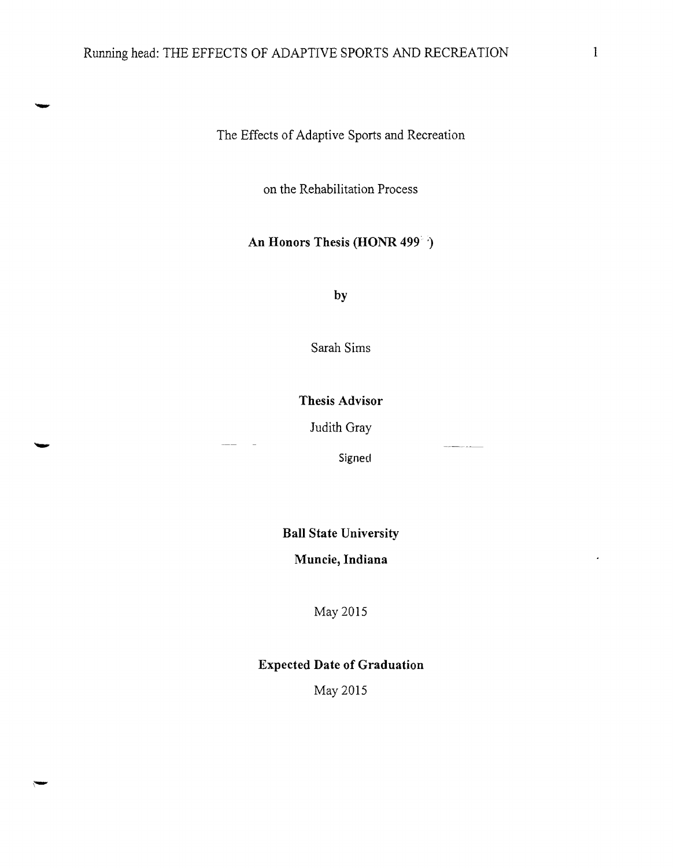The Effects of Adaptive Sports and Recreation

on the Rehabilitation Process

# **An Honors Thesis (HONR 499 )**

**by** 

Sarah Sims

**Thesis Advisor** 

Judith Gray

Signed

**Ball State University** 

**Muncie, Indiana** 

May 2015

# **Expected Date of Graduation**

May 2015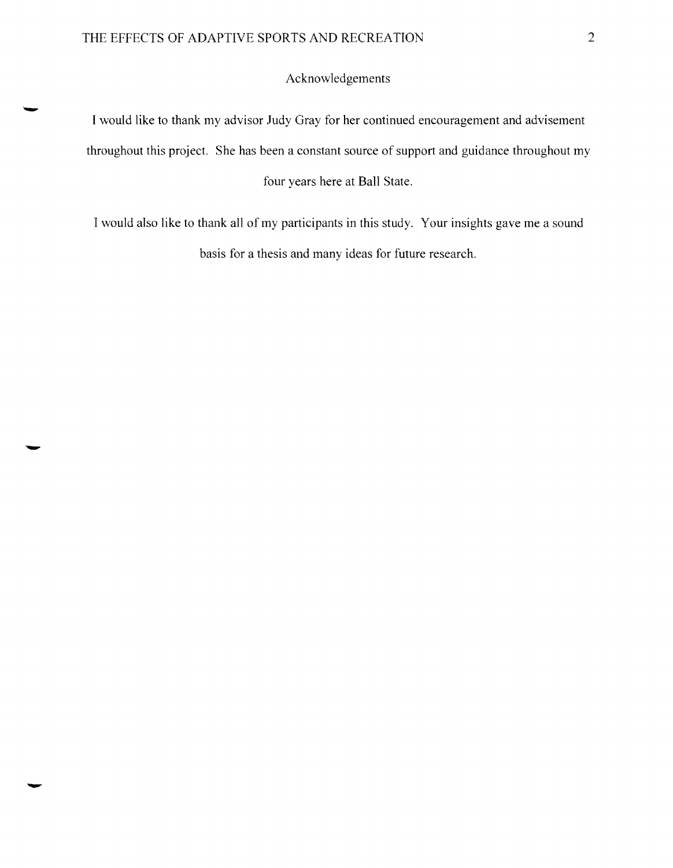## Acknowledgements

I would like to thank my advisor Judy Gray for her continued encouragement and advisement throughout this project. She has been a constant source of support and guidance throughout my four years here at Ball State.

I would also like to thank all of my participants in this study. Your insights gave me a sound basis for a thesis and many ideas for future research.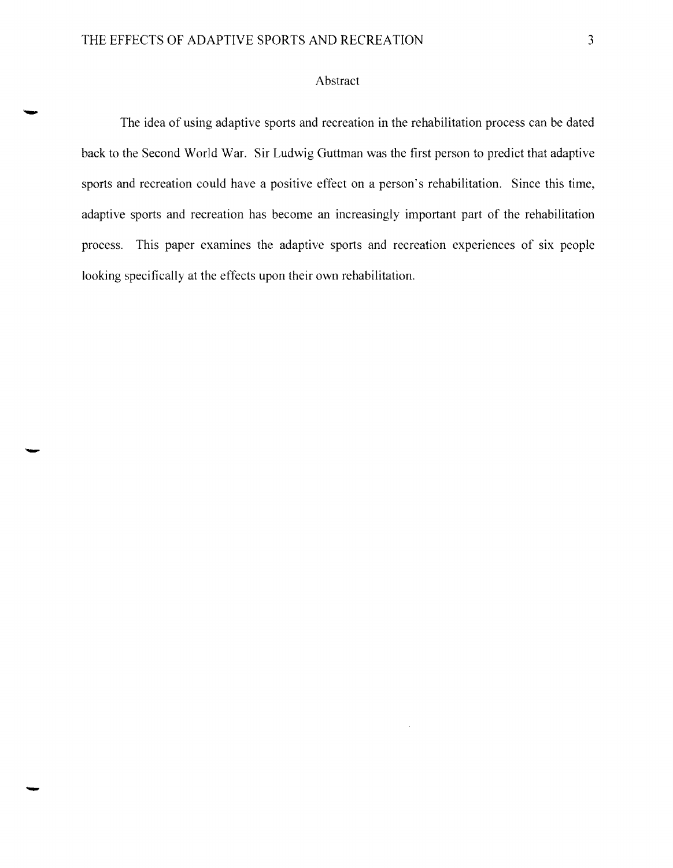### Abstract

The idea of using adaptive sports and recreation in the rehabilitation process can be dated back to the Second World War. Sir Ludwig Guttman was the first person to predict that adaptive sports and recreation could have a positive effect on a person's rehabilitation. Since this time, adaptive sports and recreation has become an increasingly important part of the rehabilitation process. This paper examines the adaptive sports and recreation experiences of six people looking specifically at the effects upon their own rehabilitation.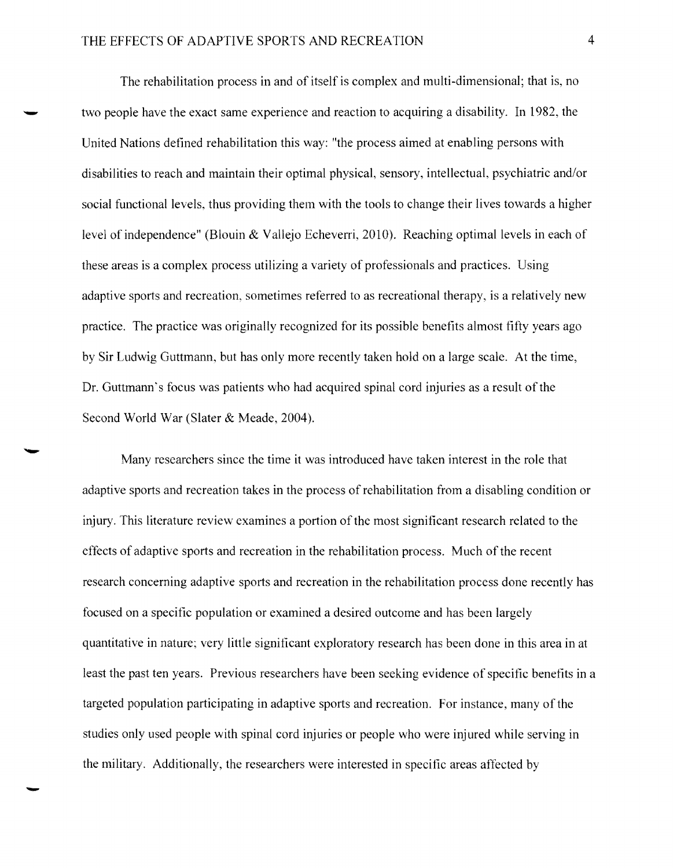The rehabilitation process in and of itself is complex and multi-dimensional; that is, no two people have the exact same experience and reaction to acquiring a disability. In 1982, the United Nations defined rehabilitation this way: "the process aimed at enabling persons with disabilities to reach and maintain their optimal physical, sensory, intellectual, psychiatric *andlor*  social functional levels, thus providing them with the tools to change their lives towards a higher level of independence" (Blouin & Vallejo Echeverri, 2010). Reaching optimal levels in each of these areas is a complex process utilizing a variety of professionals and practices. Using adaptive sports and recreation, sometimes referred to as recreational therapy, is a relatively new practice. The practice was originally recognized for its possible benefits almost fifty years ago by Sir Ludwig Guttmann, but has only more recently taken hold on a large scale. At the time, Dr. Guttmann's focus was patients who had acquired spinal cord injuries as a result of the Second World War (Slater & Meade, 2004).

Many researchers since the time it was introduced have taken interest in the role that adaptive sports and recreation takes **in** the process of rehabilitation from a disabling condition or injury. This literature review examines a portion of the most significant research related to the effects of adaptive sports and recreation **in** the rehabilitation process. Much of the recent research concerning adaptive sports and recreation in the rehabilitation process done recently has focused on a specific population or examined a desired outcome and has been largely quantitative **in** nature; very little significant exploratory research has been done in this area in at least the past ten years. Previous researchers have been seeking evidence of specific benefits in a targeted population participating in adaptive sports and recreation. For instance, many of the studies only used people with spinal cord injuries or people who were injured while serving in the military. Additionally, the researchers were interested in specific areas affected by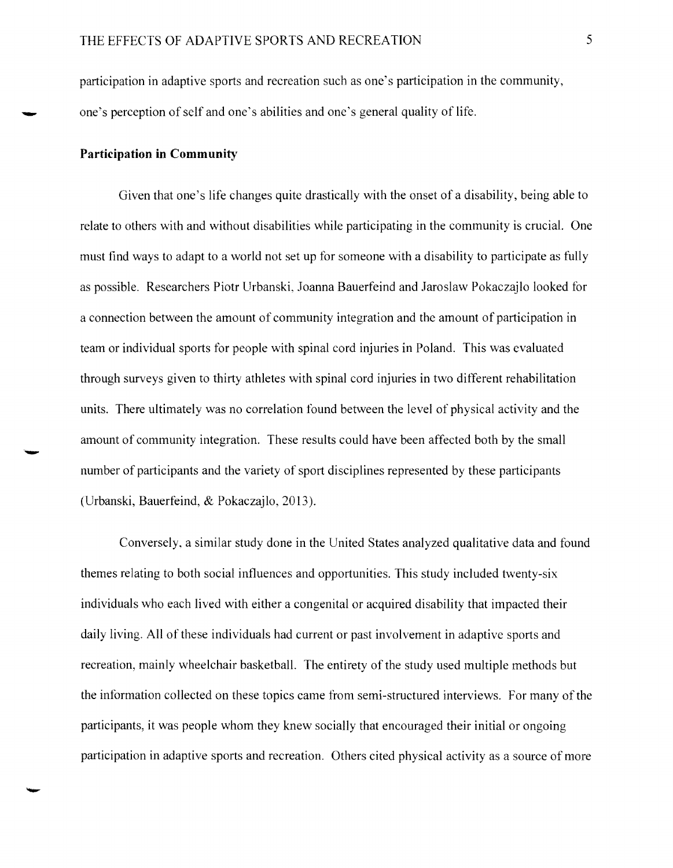participation in adaptive sports and recreation such as one's participation in the community, \_ one's perception of self and one's abilities and one's general quality of life.

#### **Participation in Community**

Given that one's life changes quite drastically with the onset of a disability, being able to relate to others with and without disabilities while participating in the community is crucial. One must find ways to adapt to a world not set up for someone with a disability to participate as fully as possible. Researchers Piotr Urbanski, Joanna Bauerfeind and Jaroslaw Pokaczajlo looked for a connection between the amount of community integration and the amount of participation in team or individual sports for people with spinal cord injuries in Poland. This was evaluated through surveys given to thirty athletes with spinal cord injuries in two different rehabilitation units. There ultimately was no correlation found between the level of physical activity and the amount of community integration. These results could have been affected both by the small number of participants and the variety of sport disciplines represented by these participants (Urbanski, Bauerfeind, & Pokaczajlo, 2013).

Conversely, a similar study done in the United States analyzed qualitative data and found themes relating to both social influences and opportunities. This study included twenty-six individuals who each lived with either a congenital or acquired disability that impacted their daily living. All of these individuals had current or past involvement in adaptive sports and recreation, mainly wheelchair basketball. The entirety of the study used multiple methods but the information collected on these topics came from semi-structured interviews. For many of the participants, it was people whom they knew socially that encouraged their initial or ongoing participation in adaptive sports and recreation. Others cited physical activity as a source of more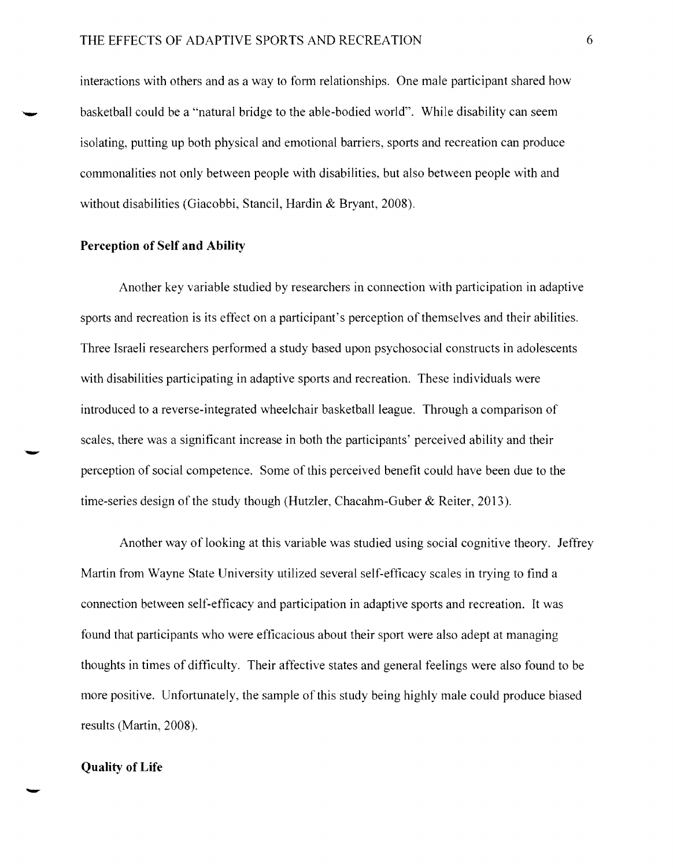interactions with others and as a way to form relationships. One male participant shared how basketball could be a "natural bridge to the able-bodied world". While disability can seem isolating, putting up both physical and emotional barriers, sports and recreation can produce commonalities not only between people with disabilities, but also between people with and without disabilities (Giacobbi, Stancil, Hardin & Bryant, 2008).

## Perception of Self and Ability

Another key variable studied by researchers in connection with participation in adaptive sports and recreation is its effect on a participant's perception of themselves and their abilities. Three Israeli researchers performed a study based upon psychosocial constructs in adolescents with disabilities participating in adaptive sports and recreation. These individuals were introduced to a reverse-integrated wheelchair basketball league. Through a comparison of scales, there was a significant increase in both the participants' perceived ability and their perception of social competence. Some of this perceived benefit could have been due to the time-series design of the study though (Hutzler, Chacahm-Guber & Reiter, 2013).

Another way of looking at this variable was studied using social cognitive theory. Jeffrey Martin from Wayne State University utilized several self-efficacy scales in trying to find a connection between self-efficacy and participation in adaptive sports and recreation. It was found that participants who were efficacious about their sport were also adept at managing thoughts in times of difficulty. Their affective states and general feelings were also found to be more positive. Unfortunately, the sample of this study being highly male could produce biased results (Martin, 2008).

### Quality of Life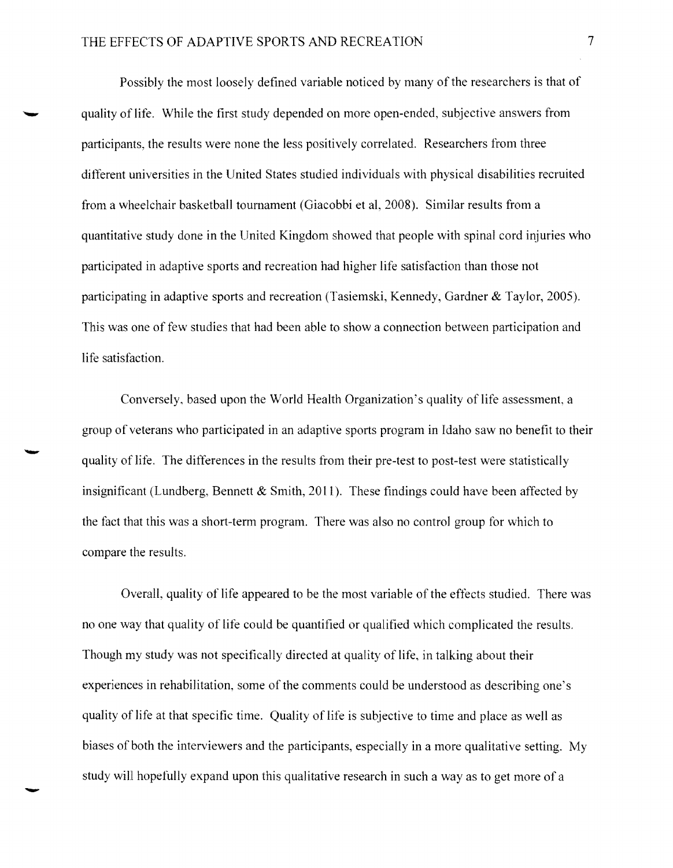Possibly the most loosely defined variable noticed by many of the researchers is that of quality of life. While the first study depended on more open-ended, subjective answers from participants, the results were none the less positively correlated. Researchers from three different universities in the United States studied individuals with physical disabilities recruited from a wheelchair basketball tournament (Giacobbi et aI, 2008). Similar results from a quantitative study done in the United Kingdom showed that people with spinal cord injuries who participated in adaptive sports and recreation had higher life satisfaction than those not participating in adaptive sports and recreation (Tasiemski, Kennedy, Gardner & Taylor, 2005). This was one of few studies that had been able to show a connection between participation and life satisfaction.

Conversely, based upon the World Health Organization's quality of life assessment, a group of veterans who participated in an adaptive sports program in Idaho saw no benefit to their quality of life. The differences in the results from their pre-test to post-test were statistically insignificant (Lundberg, Bennett  $\&$  Smith, 2011). These findings could have been affected by the fact that this was a short-term program. There was also no control group for which to compare the results.

Overall, quality of life appeared to be the most variable of the effects studied. There was no one way that quality of life could be quantified or qualified which complicated the results. Though my study was not specifically directed at quality of life, in talking about their experiences in rehabilitation, some of the comments could be understood as describing one's quality of life at that specific time. Quality of life is subjective to time and place as well as biases of both the interviewers and the participants, especially in a more qualitative setting. My study will hopefully expand upon this qualitative research in such a way as to get more of a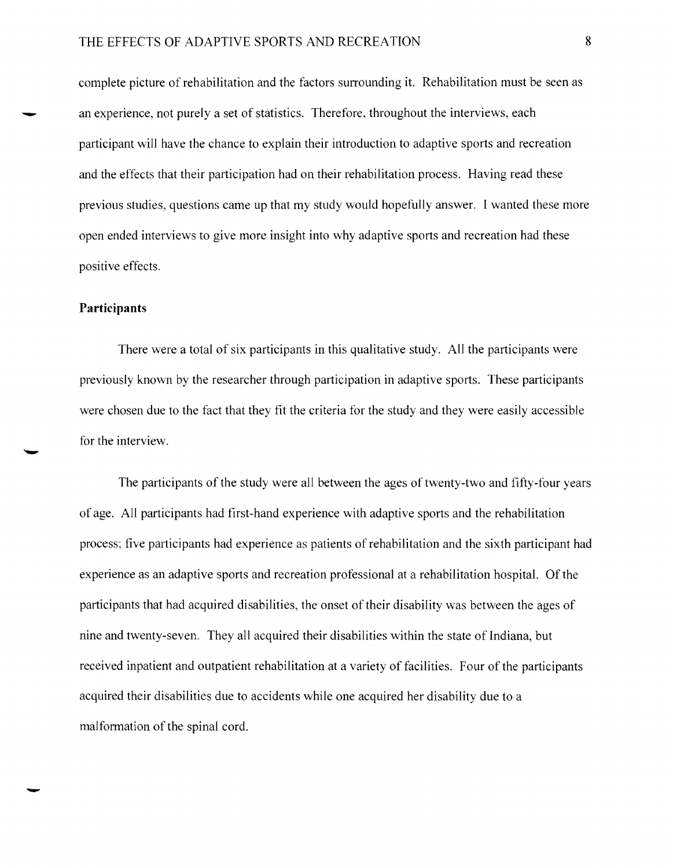## THE EFFECTS OF ADAPTIVE SPORTS AND RECREATION 8

complete picture of rehabilitation and the factors surrounding it. Rehabilitation must be seen as an experience, not purely a set of statistics. Therefore, throughout the interviews, each participant will have the chance to explain their introduction to adaptive sports and recreation and the effects that their participation had on their rehabilitation process. Having read these previous studies, questions came **up** that my study would hopefully answer. I wanted these more open ended interviews to give more insight into why adaptive sports and recreation had these positive effects.

## **Participants**

There were a total of six participants in this qualitative study. All the participants were previously known by the researcher through participation in adaptive sports. These participants were chosen due to the fact that they fit the criteria for the study and they were easily accessible for the interview.

The participants of the study were all between the ages of twenty-two and fifty-four years of age. All participants had first-hand experience with adaptive sports and the rehabilitation process; five participants had experience as patients of rehabilitation and the sixth participant had experience as an adaptive sports and recreation professional at a rehabilitation hospital. Of the participants that had acquired disabilities, the onset of their disability was between the ages of nine and twenty-seven. They all acquired their disabilities within the state of Indiana, but received inpatient and outpatient rehabilitation at a variety of facilities. Four of the participants acquired their disabilities due to accidents while one acquired her disability due to a malformation of the spinal cord.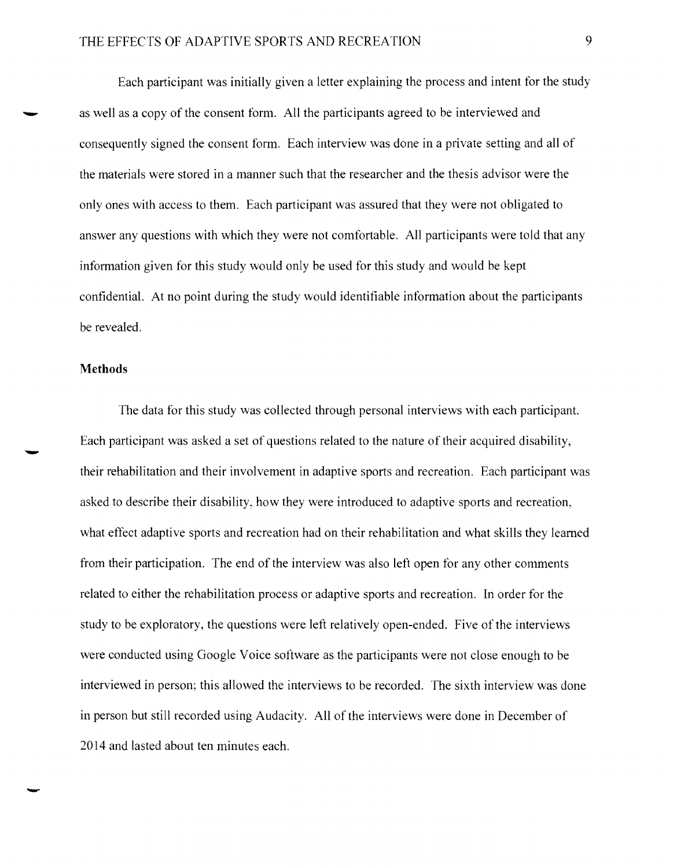Each participant was initially given a letter explaining the process and intent for the study as well as a copy of the consent form. All the participants agreed to be interviewed and consequently signed the consent form. Each interview was done in a private setting and all of the materials were stored in a manner such that the researcher and the thesis advisor were the only ones with access to them. Each participant was assured that they were not obligated to answer any questions with which they were not comfortable. All participants were told that any information given for this study would only be used for this study and would be kept confidential. At no point during the study would identifiable information about the participants be revealed.

#### **Methods**

The data for this study was collected through personal interviews with each participant. Each participant was asked a set of questions related to the nature of their acquired disability, - their rehabilitation and their involvement in adaptive sports and recreation. Each participant was asked to describe their disability, how they were introduced to adaptive sports and recreation, what effect adaptive sports and recreation had on their rehabilitation and what skills they learned from their participation. The end of the interview was also left open for any other comments related to either the rehabilitation process or adaptive sports and recreation. In order for the study to be exploratory, the questions were left relatively open-ended. Five of the interviews were conducted using Google Voice software as the participants were not close enough to be interviewed in person; this allowed the interviews to be recorded. The sixth interview was done in person but still recorded using Audacity. All of the interviews were done in December of 2014 and lasted about ten minutes each.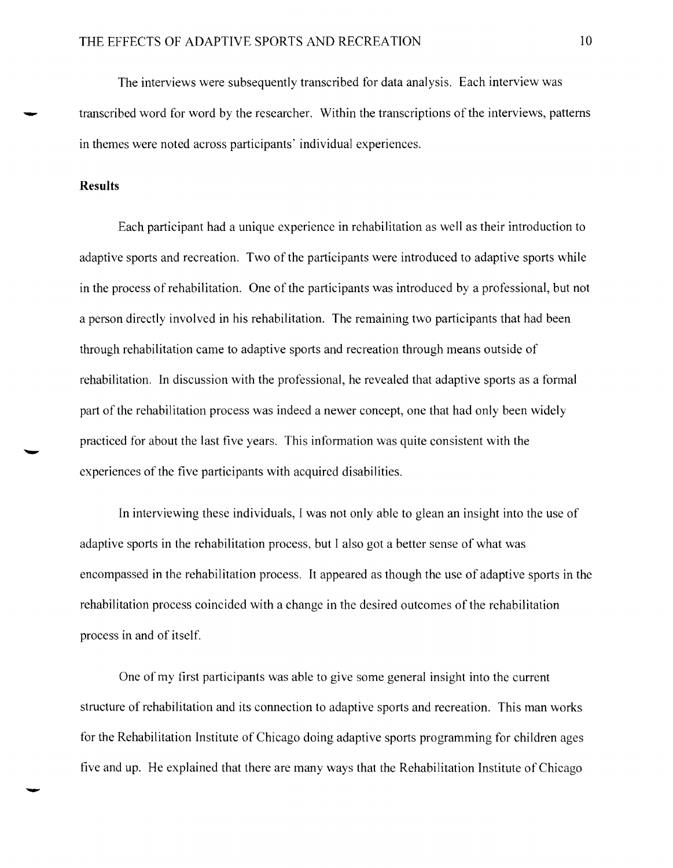The interviews were subsequently transcribed for data analysis. Each interview was transcribed word for word by the researcher. Within the transcriptions of the interviews, patterns in themes were noted across participants' individual experiences.

#### **Results**

Each participant had a unique experience in rehabilitation as well as their introduction to adaptive sports and recreation. Two of the participants were introduced to adaptive sports while in the process ofrehabilitation. One of the participants was introduced by a professional, but not a person directly involved in his rehabilitation. The remaining two participants that had been through rehabilitation came to adaptive sports and recreation through means outside of rehabilitation. In discussion with the professional, he revealed that adaptive sports as a formal part of the rehabilitation process was indeed a newer concept, one that had only been widely practiced for about the last five years. This information was quite consistent with the experiences of the five participants with acquired disabilities.

In interviewing these individuals, I was not only able to glean an insight into the use of adaptive sports in the rehabilitation process, but I also got a better sense of what was encompassed in the rehabilitation process. It appeared as though the use of adaptive sports in the rehabilitation process coincided with a change in the desired outcomes of the rehabilitation process in and of itself.

One of my first participants was able to give some general insight into the current structure of rehabilitation and its connection to adaptive sports and recreation. This man works for the Rehabilitation Institute of Chicago doing adaptive sports programming for children ages five and up. He explained that there are many ways that the Rehabilitation Institute of Chicago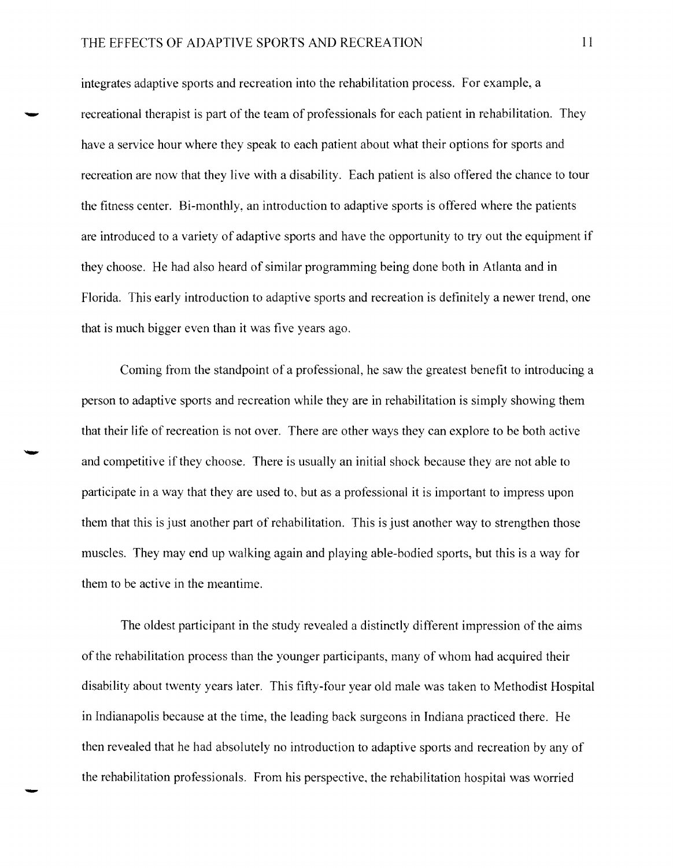## THE EFFECTS OF ADAPTIVE SPORTS AND RECREATION **11**

integrates adaptive sports and recreation into the rehabilitation process. For example, a recreational therapist is part of the team of professionals for each patient in rehabilitation. They have a service hour where they speak to each patient about what their options for sports and recreation are now that they live with a disability. Each patient is also offered the chance to tour the fitness center. Bi-monthly, an introduction to adaptive sports is offered where the patients are introduced to a variety of adaptive sports and have the opportunity to tryout the equipment if they choose. He had also heard of similar programming being done both in Atlanta and in Florida. This early introduction to adaptive sports and recreation is definitely a newer trend, one that is much bigger even than it was five years ago.

Coming from the standpoint of a professional, he saw the greatest benefit to introducing a person to adaptive sports and recreation while they are in rehabilitation is simply showing them that their life of recreation is not over. There are other ways they can explore to be both active and competitive if they choose. There is usually an initial shock because they are not able to participate in a way that they are used to, but as a professional it is important to impress upon them that this is just another part of rehabilitation. This is just another way to strengthen those muscles. They may end up walking again and playing able-bodied sports, but this is a way for them to be active in the meantime.

The oldest participant in the study revealed a distinctly different impression of the aims of the rehabilitation process than the younger participants, many of whom had acquired their disability about twenty years later. This fifty-four year old male was taken to Methodist Hospital in Indianapolis because at the time, the leading back surgeons in Indiana practiced there. He then revealed that he had absolutely no introduction to adaptive sports and recreation by any of the rehabilitation professionals. From his perspective, the rehabilitation hospital was worried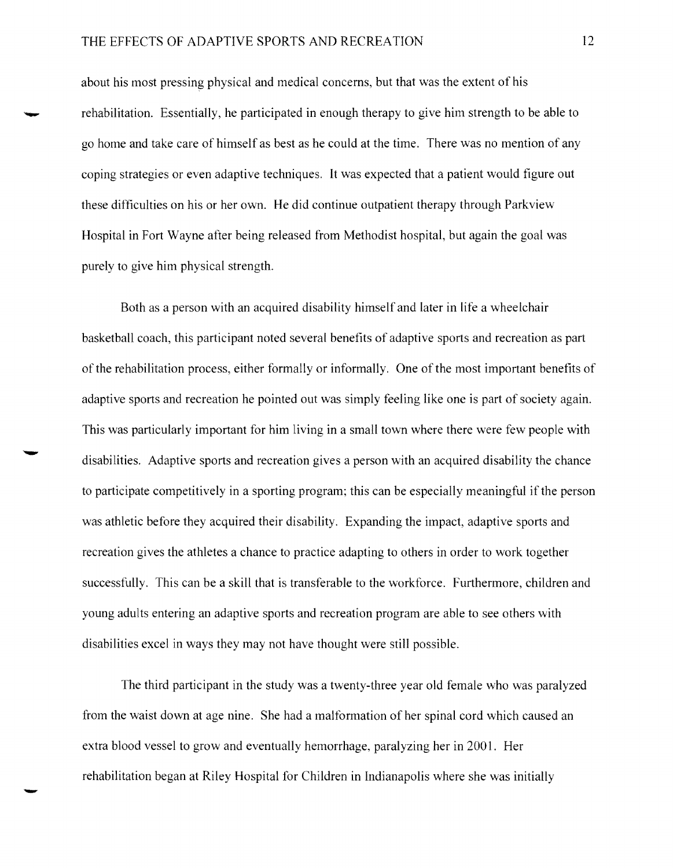## THE EFFECTS OF ADAPTIVE SPORTS AND RECREATION 12

about his most pressing physical and medical concerns, but that was the extent of his rehabilitation. Essentially, he participated in enough therapy to give him strength to be able to go home and take care of himself as best as he could at the time. There was no mention of any coping strategies or even adaptive techniques. It was expected that a patient would figure out these difficulties on his or her own. He did continue outpatient therapy through Parkview Hospital in Fort Wayne after being released from Methodist hospital, but again the goal was purely to give him physical strength.

Both as a person with an acquired disability himself and later in life a wheelchair basketball coach, this participant noted several benefits of adaptive sports and recreation as part of the rehabilitation process, either formally or informally. One of the most important benefits of adaptive sports and recreation he pointed out was simply feeling like one is part of society again. This was particularly important for him living in a small town where there were few people with disabilities. Adaptive sports and recreation gives a person with an acquired disability the chance to participate competitively in a sporting program; this can be especially meaningful if the person was athletic before they acquired their disability. Expanding the impact, adaptive sports and recreation gives the athletes a chance to practice adapting to others in order to work together successfully. This can be a skill that is transferable to the workforce. Furthermore, children and young adults entering an adaptive sports and recreation program are able to see others with disabilities excel in ways they may not have thought were still possible.

The third participant in the study was a twenty-three year old female who was paralyzed from the waist down at age nine. She had a malformation of her spinal cord which caused an extra blood vessel to grow and eventually hemorrhage, paralyzing her in 2001. Her rehabilitation began at Riley Hospital for Children in Indianapolis where she was initially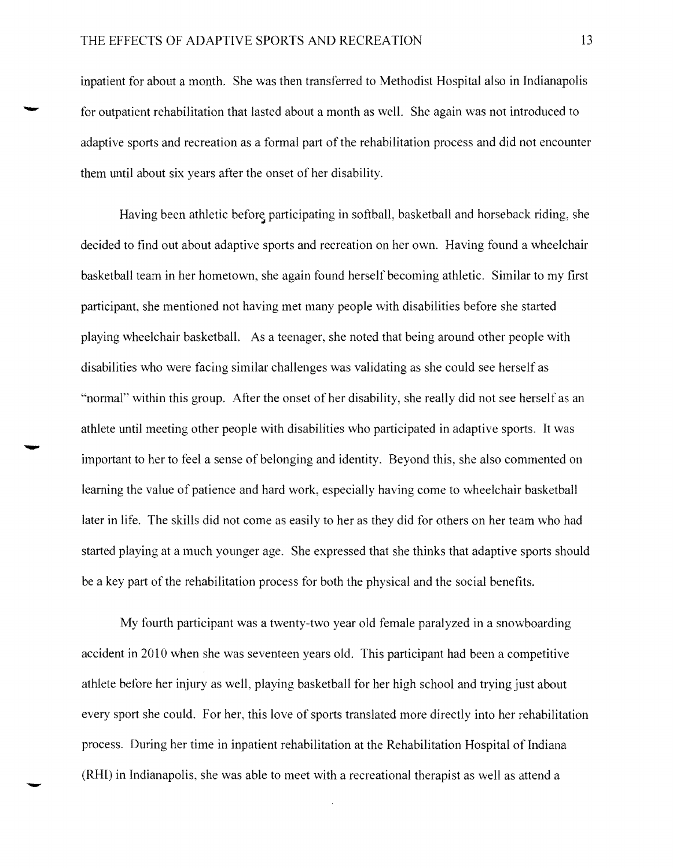inpatient for about a month. She was then transferred to Methodist Hospital also in Indianapolis for outpatient rehabilitation that lasted about a month as well. She again was not introduced to adaptive sports and recreation as a formal part of the rehabilitation process and did not encounter them until about six years after the onset of her disability.

Having been athletic before participating in softball, basketball and horseback riding, she decided to find out about adaptive sports and recreation on her own. Having found a wheelchair basketball team in her hometown, she again found herself becoming athletic. Similar to my first participant, she mentioned not having met many people with disabilities before she started playing wheelchair basketball. As a teenager, she noted that being around other people with disabilities who were facing similar challenges was validating as she could see herself as "normal" within this group. After the onset of her disability, she really did not see herself as an athlete until meeting other people with disabilities who participated in adaptive sports. It was<br>important to her to feel a sense of belonging and identity. Beyond this, she also commented on learning the value of patience and hard work, especially having come to wheelchair basketball later in life. The skills did not come as easily to her as they did for others on her team who had started playing at a much younger age. She expressed that she thinks that adaptive sports should be a key part of the rehabilitation process for both the physical and the social benefits.

My fourth participant was a twenty-two year old female paralyzed in a snowboarding accident in 2010 when she was seventeen years old. This participant had been a competitive athlete before her injury as well, playing basketball for her high school and trying just about every sport she could. For her, this love of sports translated more directly into her rehabilitation process. During her time in inpatient rehabilitation at the Rehabilitation Hospital of Indiana (RHI) in Indianapolis, she was able to meet with a recreational therapist as well as attend a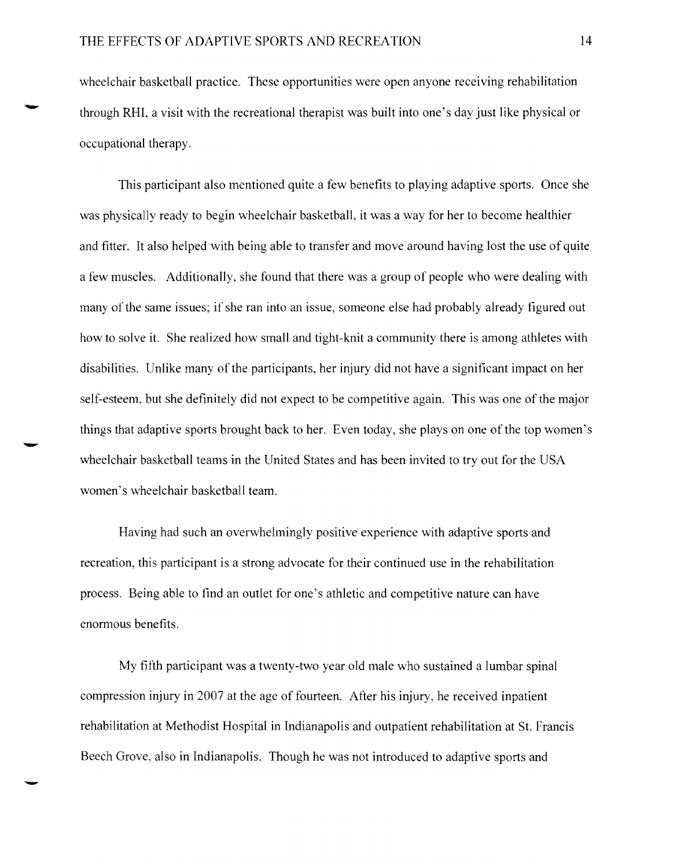wheelchair basketball practice. These opportunities were open anyone receiving rehabilitation through RHI, a visit with the recreational therapist was built into one's day just like physical or occupational therapy.

This participant also mentioned quite a few benefits to playing adaptive sports. Once she was physically ready to begin wheelchair basketbalL it was a way for her to become healthier and fitter. It also helped with being able to transfer and move around having lost the use of quite a few muscles. Additionally, she found that there was a group of people who were dealing with many of the same issues; if she ran into an issue, someone else had probably already figured out how to solve it. She realized how small and tight-knit a community there is among athletes with disabilities. Unlike many of the participants, her injury did not have a significant impact on her self-esteem, but she definitely did not expect to be competitive again. This was one of the major things that adaptive sports brought back to her. Even today, she plays on one of the top women's<br>wheelchair basketball teams in the United States and has been invited to try out for the USA women's wheelchair basketball team.

Having had such an overwhelmingly positive experience with adaptive sports and recreation, this participant is a strong advocate for their continued use in the rehabilitation process. Being able to find an outlet for one's athletic and competitive nature can have enormous benefits.

My fifth participant was a twenty-two year old male who sustained a lumbar spinal compression injury in 2007 at the age of fourteen. After his injury, he received inpatient rehabilitation at Methodist Hospital in Indianapolis and outpatient rehabilitation at S1. Francis Beech Grove, also in Indianapolis. Though he was not introduced to adaptive sports and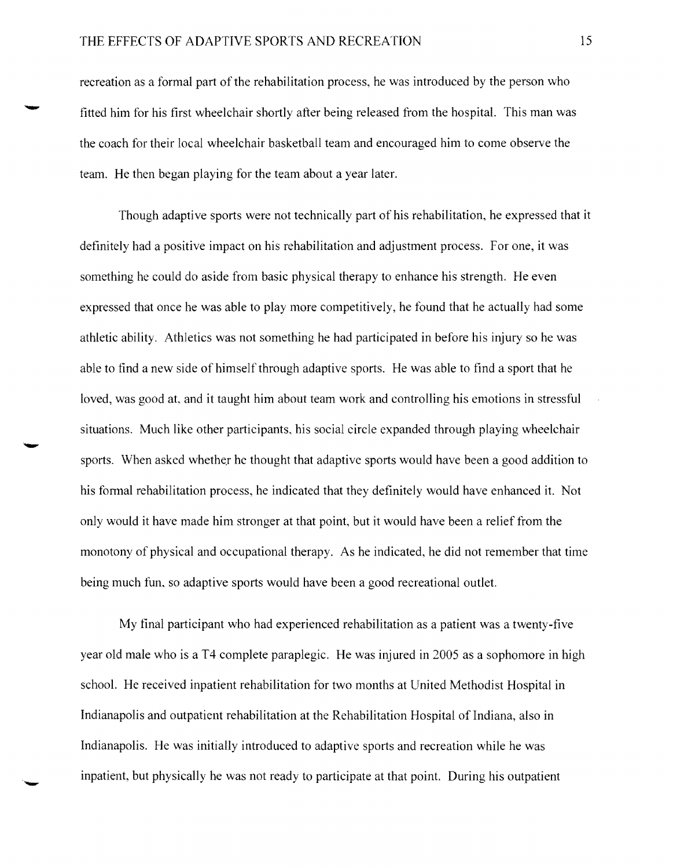## THE EFFECTS OF ADAPTIVE SPORTS AND RECREATION 15

recreation as a formal part of the rehabilitation process, he was introduced by the person who fitted him for his first wheelchair shortly after being released from the hospital. This man was the coach for their local wheelchair basketball team and encouraged him to come observe the team. He then began playing for the team about a year later.

Though adaptive sports were not technically part of his rehabilitation, he expressed that it definitely had a positive impact on his rehabilitation and adjustment process. For one, it was something he could do aside from basic physical therapy to enhance his strength. He even expressed that once he was able to play more competitively, he found that he actually had some athletic ability. Athletics was not something he had participated in before his injury so he was able to find a new side of himself through adaptive sports. He was able to find a sport that he loved, was good at, and it taught him about team work and controlling his emotions in stressful situations. Much like other participants, his social circle expanded through playing wheelchair sports. When asked whether he thought that adaptive sports would have been a good addition to his formal rehabilitation process, he indicated that they definitely would have enhanced it. Not only would it have made him stronger at that point, but it would have been a relief from the monotony of physical and occupational therapy. As he indicated, he did not remember that time being much fun, so adaptive sports would have been a good recreational outlet.

My final participant who had experienced rehabilitation as a patient was a twenty-five year old male who is a T4 complete paraplegic. He was injured in 2005 as a sophomore in high school. He received inpatient rehabilitation for two months at United Methodist Hospital in Indianapolis and outpatient rehabilitation at the Rehabilitation Hospital of Indiana, also in Indianapolis. He was initially introduced to adaptive sports and recreation while he was inpatient, but physically he was not ready to participate at that point. During his outpatient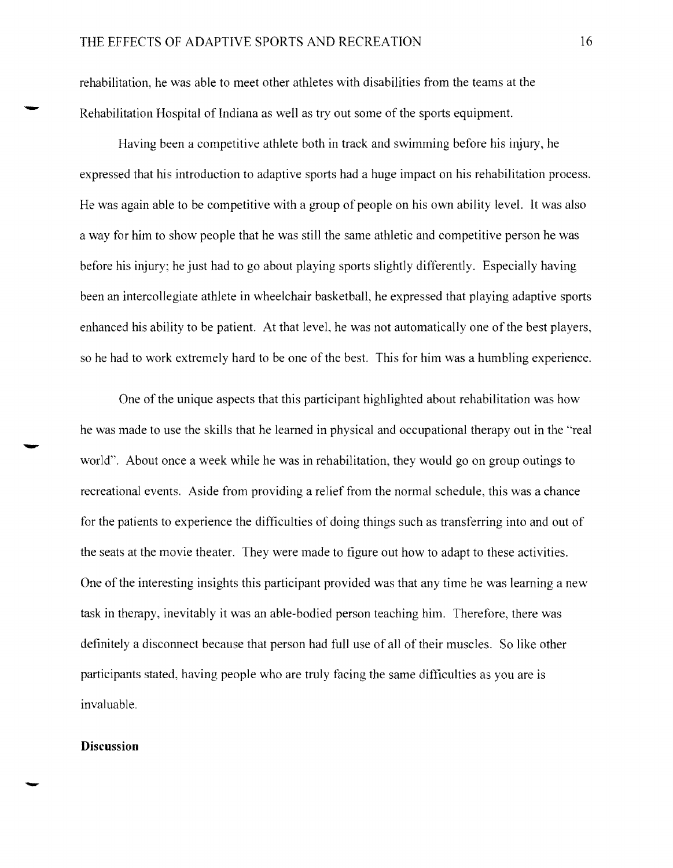rehabilitation, he was able to meet other athletes with disabilities from the teams at the Rehabilitation Hospital of Indiana as well as tryout some of the sports equipment.

Having been a competitive athlete both in track and swimming before his injury, he expressed that his introduction to adaptive sports had a huge impact on his rehabilitation process. He was again able to be competitive with a group of people on his own ability level. It was also a way for him to show people that he was still the same athletic and competitive person he was before his injury; he just had to go about playing sports slightly differently. Especially having been an intercollegiate athlete in wheelchair basketball, he expressed that playing adaptive sports enhanced his ability to be patient. At that level, he was not automatically one of the best players, so he had to work extremely hard to be one of the best. This for him was a humbling experience.

One of the unique aspects that this participant highlighted about rehabilitation was how he was made to use the skills that he learned in physical and occupational therapy out in the "real he was made to use the skills that he learned in physical and occupational therapy out in the "r<br>world". About once a week while he was in rehabilitation, they would go on group outings to recreational events. Aside from providing a relief from the normal schedule, this was a chance for the patients to experience the difficulties of doing things such as transferring into and out of the seats at the movie theater. They were made to tigure out how to adapt to these activities. One of the interesting insights this participant provided was that any time he was learning a new task in therapy, inevitably it was an able-bodied person teaching him. Therefore, there was definitely a disconnect because that person had full use of all of their muscles. So like other participants stated, having people who are truly facing the same difficulties as you are is invaluable.

#### **Discussion**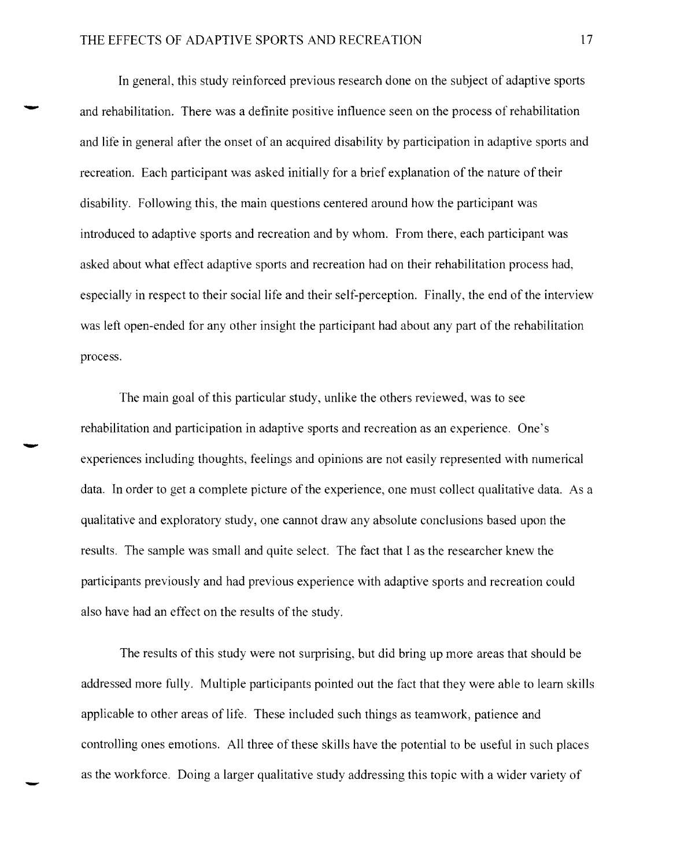In general, this study reinforced previous research done on the subject of adaptive sports and rehabilitation. There was a definite positive influence seen on the process of rehabilitation and life in general after the onset of an acquired disability by participation in adaptive sports and recreation. Each participant was asked initially for a brief explanation of the nature of their disability. Following this, the main questions centered around how the participant was introduced to adaptive sports and recreation and by whom. From there, each participant was asked about what effect adaptive sports and recreation had on their rehabilitation process had, especially in respect to their social life and their self-perception. Finally, the end of the interview was left open-ended for any other insight the participant had about any part of the rehabilitation process.

The main goal of this particular study, unlike the others reviewed, was to see rehabilitation and participation in adaptive sports and recreation as an experience. One's experiences including thoughts, feelings and opinions are not easily represented with numerical data. In order to get a complete picture of the experience, one must collect qualitative data. As a qualitative and exploratory study, one cannot draw any absolute conclusions based upon the results. The sample was small and quite select. The fact that I as the researcher knew the participants previously and had previous experience with adaptive sports and recreation could also have had an effect on the results of the study.

The results of this study were not surprising, but did bring up more areas that should be addressed more fully. Multiple participants pointed out the fact that they were able to learn skills applicable to other areas of life. These included such things as teamwork, patience and controlling ones emotions. All three of these skills have the potential to be useful in such places as the workforce. Doing a larger qualitative study addressing this topic with a wider variety of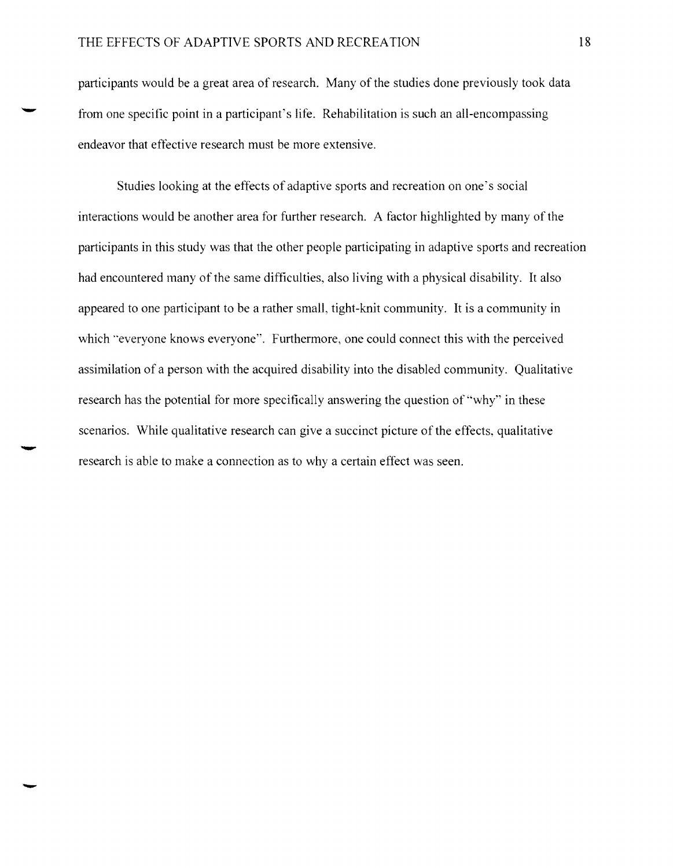participants would be a great area of research. Many of the studies done previously took data from one specific point in a participant's life. Rehabilitation is such an all-encompassing endeavor that effective research must be more extensive.

Studies looking at the effects of adaptive sports and recreation on one's social interactions would be another area for further research. A factor highlighted by many of the participants in this study was that the other people participating in adaptive sports and recreation had encountered many of the same difficulties, also living with a physical disability. It also appeared to one participant to be a rather small, tight-knit community. It is a community in which "everyone knows everyone". Furthermore, one could connect this with the perceived assimilation of a person with the acquired disability into the disabled community. Qualitative research has the potential for more specifically answering the question of "why" in these scenarios. While qualitative research can give a succinct picture of the effects, qualitative research is able to make a connection as to why a certain effect was seen.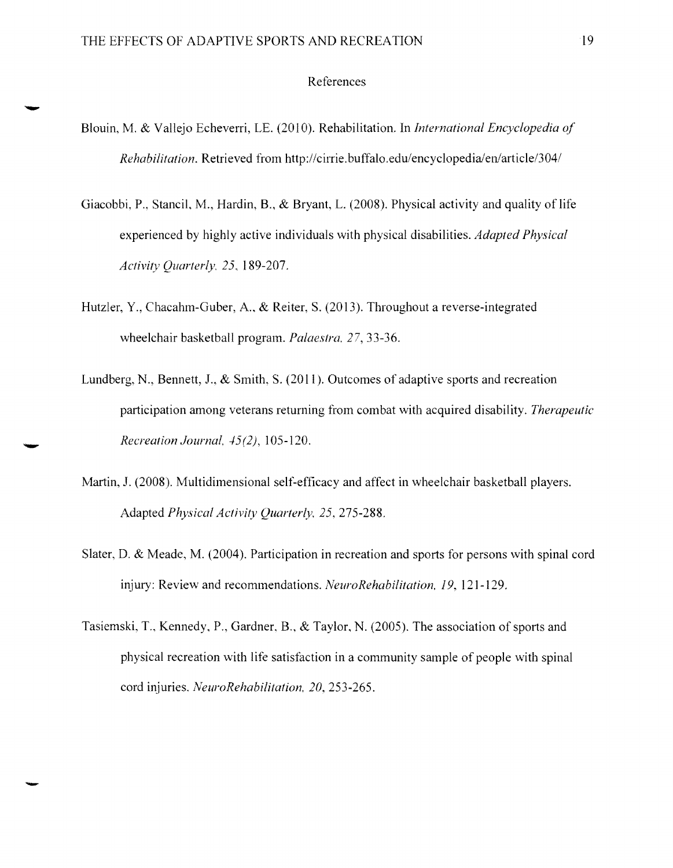#### References

- Blouin, M. & Vallejo Echeverri, LE. (2010). Rehabilitation. In *International Encyclopedia of Rehabilitation.* Retrieved from *http://cirrie.buffalo.edu/encyclopedia/en/article/304/*
- Giacobbi, P., Stancil. M., Hardin, 8., & Bryant, L. (2008). Physical activity and quality of life experienced by highly active individuals with physical disabilities. *Adapted Physical Activit}' Quarterly.* 25, 189-207.
- Hutzler, Y., Chacahm-Guber, A, & Reiter, S. (2013). Throughout a reverse-integrated wheelchair basketball program. *Palaestra.* 27,33-36.
- Lundberg, N., Bennett, 1., & Smith, S. (2011). Outcomes of adaptive sports and recreation participation among veterans returning from combat with acquired disability. *Therapeutic Recreation Journal, 45(2), 105-120.*
- Martin, J. (2008). Multidimensional self-efficacy and affect in wheelchair basketball players. Adapted *Physical Activity Quarterly.* 25,275-288.
- Slater, D. & Meade, M. (2004). Participation in recreation and sports for persons with spinal cord injury: Review and recommendations. *NeuroRehabilitation.* 19, 121-129.
- Tasiemski, T., Kennedy, P., Gardner, 8., & Taylor, N. (2005). The association of sports and physical recreation with life satisfaction in a community sample of people with spinal cord injuries. *NeuroRehabilitafion,* 20,253-265.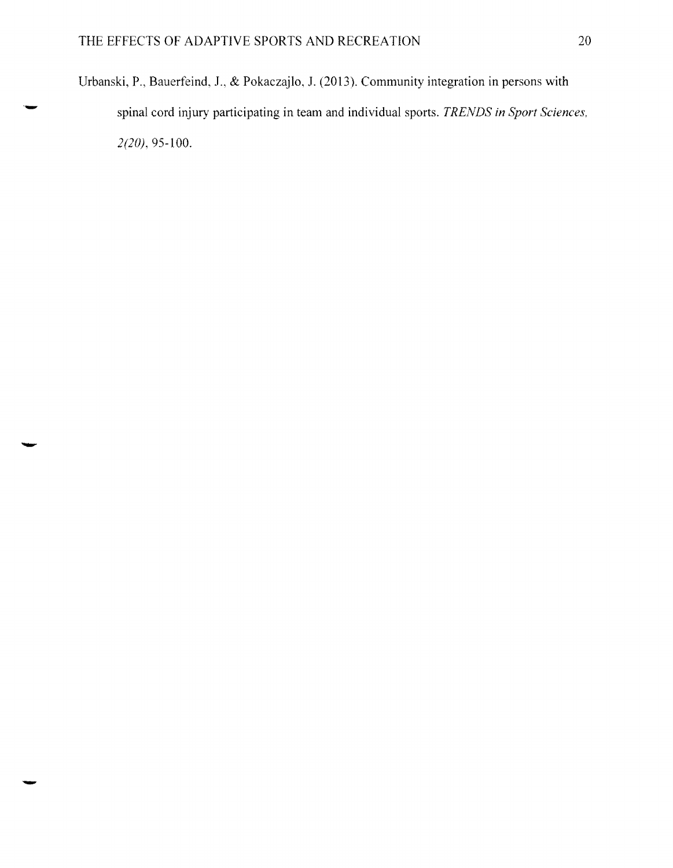Urbanski, P., Bauerfeind, J., & Pokaczajlo, J. (2013). Community integration in persons with spinal cord injury participating in team and individual sports. *TRENDS in Sport Sciences,* ' 2(20),95-100.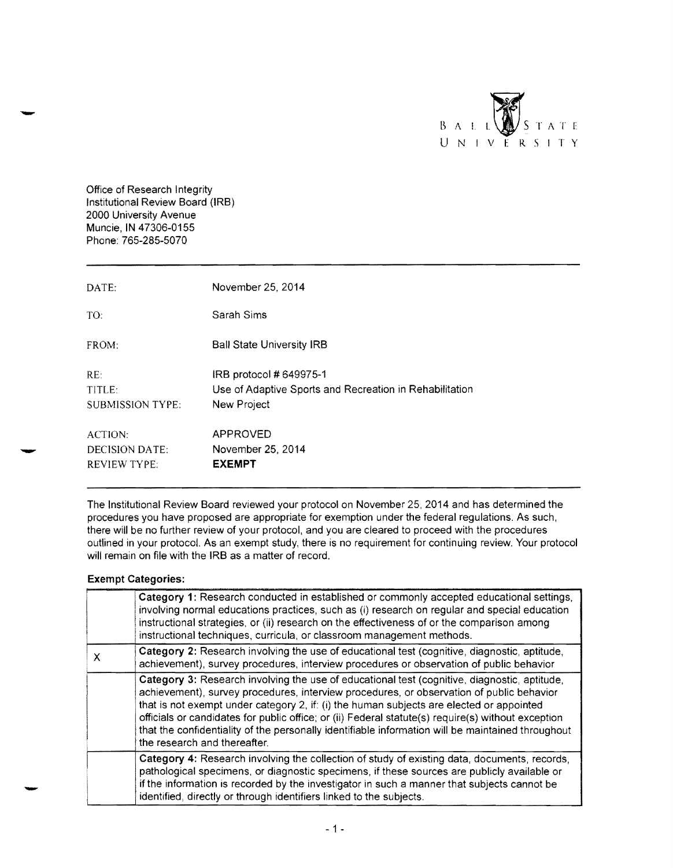

Office of Research Integrity Institutional Review Board (lRB) 2000 University Avenue Muncie, IN 47306-0155 Phone: 765-285-5070

| DATE:                                                          | November 25, 2014                                                                                 |
|----------------------------------------------------------------|---------------------------------------------------------------------------------------------------|
| TO:                                                            | Sarah Sims                                                                                        |
| FROM:                                                          | <b>Ball State University IRB</b>                                                                  |
| RE:<br>TITLE:<br><b>SUBMISSION TYPE:</b>                       | IRB protocol # 649975-1<br>Use of Adaptive Sports and Recreation in Rehabilitation<br>New Project |
| <b>ACTION:</b><br><b>DECISION DATE:</b><br><b>REVIEW TYPE:</b> | APPROVED<br>November 25, 2014<br><b>EXEMPT</b>                                                    |

The Institutional Review Board reviewed your protocol on November 25, 2014 and has determined the procedures you have proposed are appropriate for exemption under the federal regulations. As such, there will be no further review of your protocol, and you are cleared to proceed with the procedures outlined in your protocol. As an exempt study, there is no requirement for continuing review. Your protocol will remain on file with the IRB as a matter of record.

#### **Exempt Categories:**

|   | Category 1: Research conducted in established or commonly accepted educational settings,<br>involving normal educations practices, such as (i) research on regular and special education<br>instructional strategies, or (ii) research on the effectiveness of or the comparison among<br>instructional techniques, curricula, or classroom management methods.                                                                                                                                                                 |
|---|---------------------------------------------------------------------------------------------------------------------------------------------------------------------------------------------------------------------------------------------------------------------------------------------------------------------------------------------------------------------------------------------------------------------------------------------------------------------------------------------------------------------------------|
| X | Category 2: Research involving the use of educational test (cognitive, diagnostic, aptitude,<br>achievement), survey procedures, interview procedures or observation of public behavior                                                                                                                                                                                                                                                                                                                                         |
|   | Category 3: Research involving the use of educational test (cognitive, diagnostic, aptitude,<br>achievement), survey procedures, interview procedures, or observation of public behavior<br>that is not exempt under category 2, if: (i) the human subjects are elected or appointed<br>officials or candidates for public office; or (ii) Federal statute(s) require(s) without exception<br>that the confidentiality of the personally identifiable information will be maintained throughout<br>the research and thereafter. |
|   | Category 4: Research involving the collection of study of existing data, documents, records,<br>pathological specimens, or diagnostic specimens, if these sources are publicly available or<br>if the information is recorded by the investigator in such a manner that subjects cannot be<br>identified, directly or through identifiers linked to the subjects.                                                                                                                                                               |